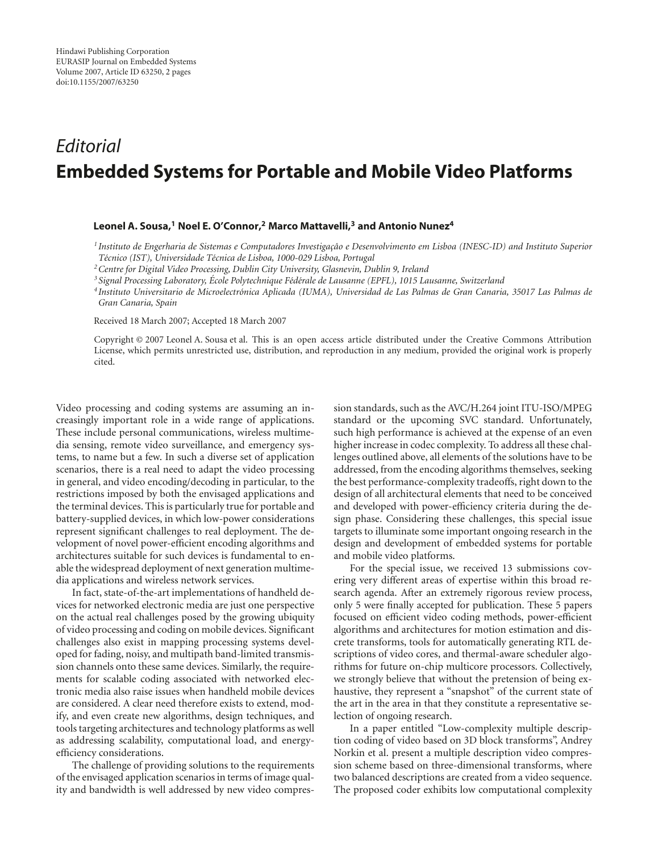## *Editorial* **Embedded Systems for Portable and Mobile Video Platforms**

## **Leonel A. Sousa,1 Noel E. O'Connor,2 Marco Mattavelli,3 and Antonio Nunez4**

<sup>1</sup> Instituto de Engerharia de Sistemas e Computadores Investigação e Desenvolvimento em Lisboa (INESC-ID) and Instituto Superior *T´ecnico (IST), Universidade T´ecnica de Lisboa, 1000-029 Lisboa, Portugal*

*2Centre for Digital Video Processing, Dublin City University, Glasnevin, Dublin 9, Ireland*

*<sup>3</sup> Signal Processing Laboratory, Ecole Polytechnique F ´ ´ed´erale de Lausanne (EPFL), 1015 Lausanne, Switzerland*

*<sup>4</sup> Instituto Universitario de Microelectronica Aplicada (IUMA), Universidad de Las Palmas de Gran Canaria, 35017 Las Palmas de ´ Gran Canaria, Spain*

Received 18 March 2007; Accepted 18 March 2007

Copyright © 2007 Leonel A. Sousa et al. This is an open access article distributed under the Creative Commons Attribution License, which permits unrestricted use, distribution, and reproduction in any medium, provided the original work is properly cited.

Video processing and coding systems are assuming an increasingly important role in a wide range of applications. These include personal communications, wireless multimedia sensing, remote video surveillance, and emergency systems, to name but a few. In such a diverse set of application scenarios, there is a real need to adapt the video processing in general, and video encoding/decoding in particular, to the restrictions imposed by both the envisaged applications and the terminal devices. This is particularly true for portable and battery-supplied devices, in which low-power considerations represent significant challenges to real deployment. The development of novel power-efficient encoding algorithms and architectures suitable for such devices is fundamental to enable the widespread deployment of next generation multimedia applications and wireless network services.

In fact, state-of-the-art implementations of handheld devices for networked electronic media are just one perspective on the actual real challenges posed by the growing ubiquity of video processing and coding on mobile devices. Significant challenges also exist in mapping processing systems developed for fading, noisy, and multipath band-limited transmission channels onto these same devices. Similarly, the requirements for scalable coding associated with networked electronic media also raise issues when handheld mobile devices are considered. A clear need therefore exists to extend, modify, and even create new algorithms, design techniques, and tools targeting architectures and technology platforms as well as addressing scalability, computational load, and energyefficiency considerations.

The challenge of providing solutions to the requirements of the envisaged application scenarios in terms of image quality and bandwidth is well addressed by new video compression standards, such as the AVC/H.264 joint ITU-ISO/MPEG standard or the upcoming SVC standard. Unfortunately, such high performance is achieved at the expense of an even higher increase in codec complexity. To address all these challenges outlined above, all elements of the solutions have to be addressed, from the encoding algorithms themselves, seeking the best performance-complexity tradeoffs, right down to the design of all architectural elements that need to be conceived and developed with power-efficiency criteria during the design phase. Considering these challenges, this special issue targets to illuminate some important ongoing research in the design and development of embedded systems for portable and mobile video platforms.

For the special issue, we received 13 submissions covering very different areas of expertise within this broad research agenda. After an extremely rigorous review process, only 5 were finally accepted for publication. These 5 papers focused on efficient video coding methods, power-efficient algorithms and architectures for motion estimation and discrete transforms, tools for automatically generating RTL descriptions of video cores, and thermal-aware scheduler algorithms for future on-chip multicore processors. Collectively, we strongly believe that without the pretension of being exhaustive, they represent a "snapshot" of the current state of the art in the area in that they constitute a representative selection of ongoing research.

In a paper entitled "Low-complexity multiple description coding of video based on 3D block transforms", Andrey Norkin et al. present a multiple description video compression scheme based on three-dimensional transforms, where two balanced descriptions are created from a video sequence. The proposed coder exhibits low computational complexity